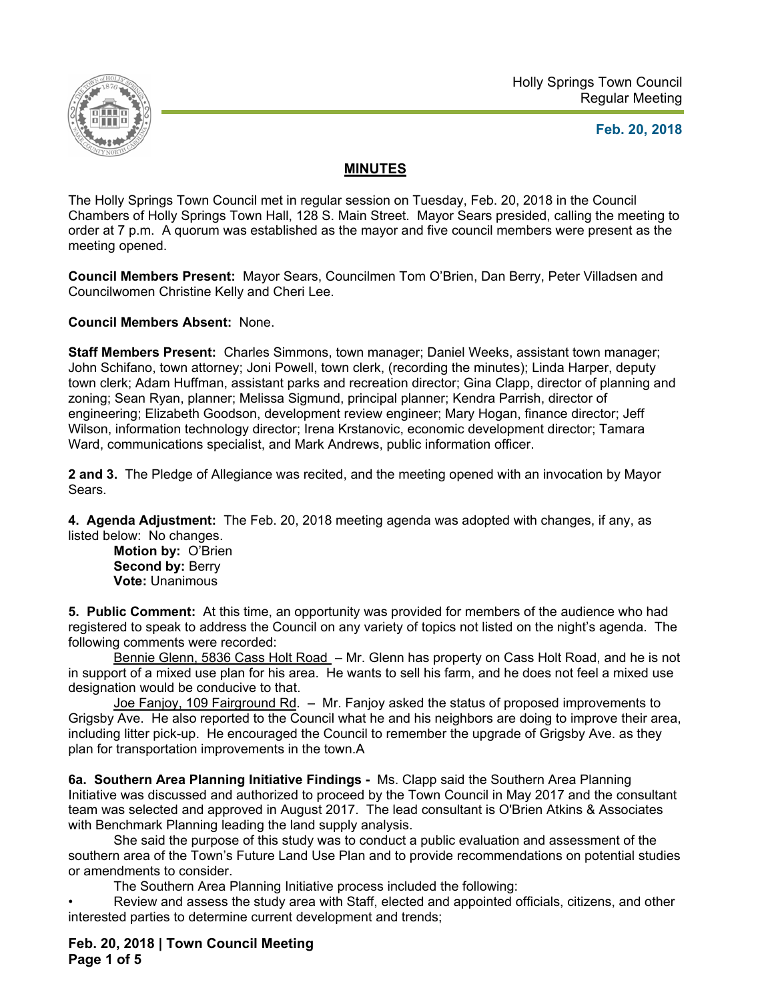

#### **Feb. 20, 2018**

#### **MINUTES**

The Holly Springs Town Council met in regular session on Tuesday, Feb. 20, 2018 in the Council Chambers of Holly Springs Town Hall, 128 S. Main Street. Mayor Sears presided, calling the meeting to order at 7 p.m. A quorum was established as the mayor and five council members were present as the meeting opened.

**Council Members Present:** Mayor Sears, Councilmen Tom O'Brien, Dan Berry, Peter Villadsen and Councilwomen Christine Kelly and Cheri Lee.

**Council Members Absent:** None.

**Staff Members Present:** Charles Simmons, town manager; Daniel Weeks, assistant town manager; John Schifano, town attorney; Joni Powell, town clerk, (recording the minutes); Linda Harper, deputy town clerk; Adam Huffman, assistant parks and recreation director; Gina Clapp, director of planning and zoning; Sean Ryan, planner; Melissa Sigmund, principal planner; Kendra Parrish, director of engineering; Elizabeth Goodson, development review engineer; Mary Hogan, finance director; Jeff Wilson, information technology director; Irena Krstanovic, economic development director; Tamara Ward, communications specialist, and Mark Andrews, public information officer.

**2 and 3.** The Pledge of Allegiance was recited, and the meeting opened with an invocation by Mayor Sears.

**4. Agenda Adjustment:** The Feb. 20, 2018 meeting agenda was adopted with changes, if any, as listed below: No changes.

**Motion by:** O'Brien **Second by: Berry Vote:** Unanimous

**5. Public Comment:** At this time, an opportunity was provided for members of the audience who had registered to speak to address the Council on any variety of topics not listed on the night's agenda. The following comments were recorded:

Bennie Glenn, 5836 Cass Holt Road - Mr. Glenn has property on Cass Holt Road, and he is not in support of a mixed use plan for his area. He wants to sell his farm, and he does not feel a mixed use designation would be conducive to that.

 Joe Fanjoy, 109 Fairground Rd. – Mr. Fanjoy asked the status of proposed improvements to Grigsby Ave. He also reported to the Council what he and his neighbors are doing to improve their area, including litter pick-up. He encouraged the Council to remember the upgrade of Grigsby Ave. as they plan for transportation improvements in the town.A

**6a. Southern Area Planning Initiative Findings -** Ms. Clapp said the Southern Area Planning Initiative was discussed and authorized to proceed by the Town Council in May 2017 and the consultant team was selected and approved in August 2017. The lead consultant is O'Brien Atkins & Associates with Benchmark Planning leading the land supply analysis.

She said the purpose of this study was to conduct a public evaluation and assessment of the southern area of the Town's Future Land Use Plan and to provide recommendations on potential studies or amendments to consider.

The Southern Area Planning Initiative process included the following:

• Review and assess the study area with Staff, elected and appointed officials, citizens, and other interested parties to determine current development and trends;

**Feb. 20, 2018 | Town Council Meeting Page 1 of 5**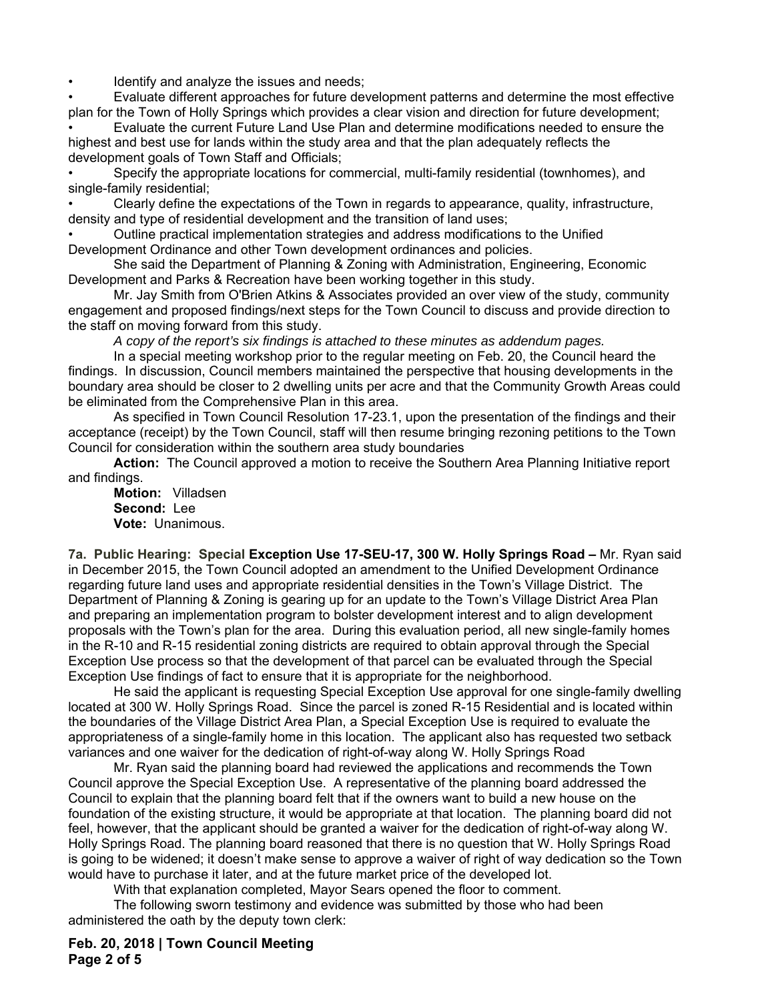Identify and analyze the issues and needs;

• Evaluate different approaches for future development patterns and determine the most effective plan for the Town of Holly Springs which provides a clear vision and direction for future development;

• Evaluate the current Future Land Use Plan and determine modifications needed to ensure the highest and best use for lands within the study area and that the plan adequately reflects the development goals of Town Staff and Officials;

• Specify the appropriate locations for commercial, multi-family residential (townhomes), and single-family residential;

• Clearly define the expectations of the Town in regards to appearance, quality, infrastructure, density and type of residential development and the transition of land uses;

• Outline practical implementation strategies and address modifications to the Unified Development Ordinance and other Town development ordinances and policies.

She said the Department of Planning & Zoning with Administration, Engineering, Economic Development and Parks & Recreation have been working together in this study.

Mr. Jay Smith from O'Brien Atkins & Associates provided an over view of the study, community engagement and proposed findings/next steps for the Town Council to discuss and provide direction to the staff on moving forward from this study.

*A copy of the report's six findings is attached to these minutes as addendum pages.* 

In a special meeting workshop prior to the regular meeting on Feb. 20, the Council heard the findings. In discussion, Council members maintained the perspective that housing developments in the boundary area should be closer to 2 dwelling units per acre and that the Community Growth Areas could be eliminated from the Comprehensive Plan in this area.

As specified in Town Council Resolution 17-23.1, upon the presentation of the findings and their acceptance (receipt) by the Town Council, staff will then resume bringing rezoning petitions to the Town Council for consideration within the southern area study boundaries

**Action:** The Council approved a motion to receive the Southern Area Planning Initiative report and findings.

**Motion:** Villadsen  **Second:** Lee **Vote:** Unanimous.

**7a. Public Hearing: Special Exception Use 17-SEU-17, 300 W. Holly Springs Road –** Mr. Ryan said in December 2015, the Town Council adopted an amendment to the Unified Development Ordinance regarding future land uses and appropriate residential densities in the Town's Village District. The Department of Planning & Zoning is gearing up for an update to the Town's Village District Area Plan and preparing an implementation program to bolster development interest and to align development proposals with the Town's plan for the area. During this evaluation period, all new single-family homes in the R-10 and R-15 residential zoning districts are required to obtain approval through the Special Exception Use process so that the development of that parcel can be evaluated through the Special Exception Use findings of fact to ensure that it is appropriate for the neighborhood.

He said the applicant is requesting Special Exception Use approval for one single-family dwelling located at 300 W. Holly Springs Road. Since the parcel is zoned R-15 Residential and is located within the boundaries of the Village District Area Plan, a Special Exception Use is required to evaluate the appropriateness of a single-family home in this location. The applicant also has requested two setback variances and one waiver for the dedication of right-of-way along W. Holly Springs Road

 Mr. Ryan said the planning board had reviewed the applications and recommends the Town Council approve the Special Exception Use. A representative of the planning board addressed the Council to explain that the planning board felt that if the owners want to build a new house on the foundation of the existing structure, it would be appropriate at that location. The planning board did not feel, however, that the applicant should be granted a waiver for the dedication of right-of-way along W. Holly Springs Road. The planning board reasoned that there is no question that W. Holly Springs Road is going to be widened; it doesn't make sense to approve a waiver of right of way dedication so the Town would have to purchase it later, and at the future market price of the developed lot.

With that explanation completed, Mayor Sears opened the floor to comment.

The following sworn testimony and evidence was submitted by those who had been administered the oath by the deputy town clerk:

**Feb. 20, 2018 | Town Council Meeting Page 2 of 5**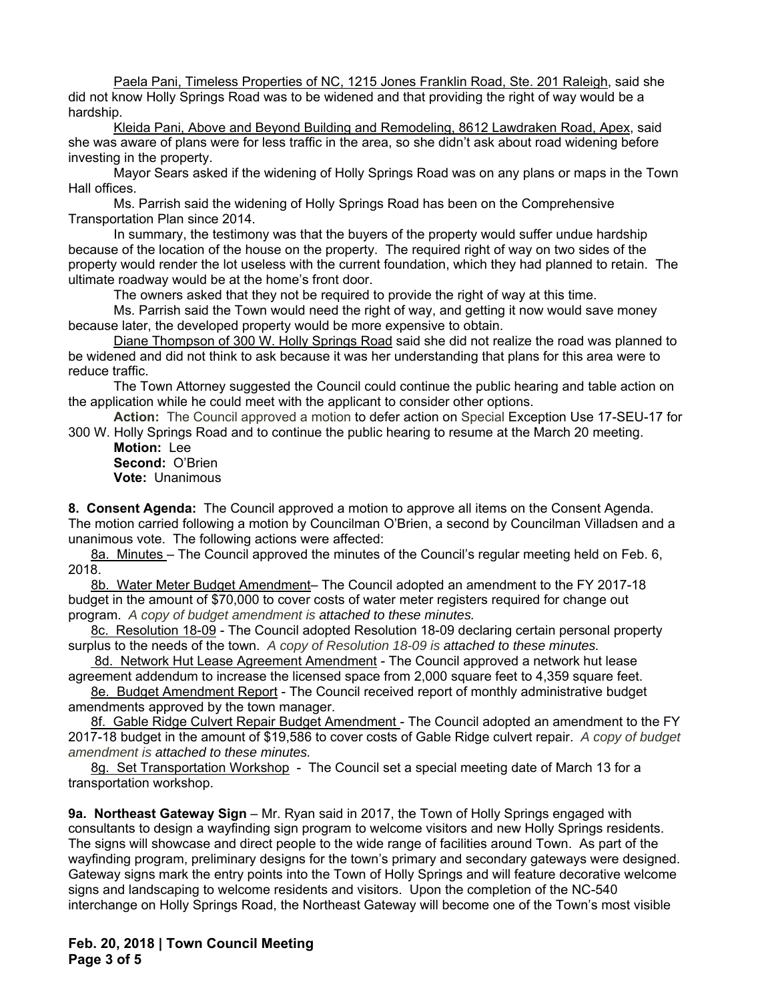Paela Pani, Timeless Properties of NC, 1215 Jones Franklin Road, Ste. 201 Raleigh, said she did not know Holly Springs Road was to be widened and that providing the right of way would be a hardship.

Kleida Pani, Above and Beyond Building and Remodeling, 8612 Lawdraken Road, Apex, said she was aware of plans were for less traffic in the area, so she didn't ask about road widening before investing in the property.

Mayor Sears asked if the widening of Holly Springs Road was on any plans or maps in the Town Hall offices.

Ms. Parrish said the widening of Holly Springs Road has been on the Comprehensive Transportation Plan since 2014.

 In summary, the testimony was that the buyers of the property would suffer undue hardship because of the location of the house on the property. The required right of way on two sides of the property would render the lot useless with the current foundation, which they had planned to retain. The ultimate roadway would be at the home's front door.

The owners asked that they not be required to provide the right of way at this time.

 Ms. Parrish said the Town would need the right of way, and getting it now would save money because later, the developed property would be more expensive to obtain.

 Diane Thompson of 300 W. Holly Springs Road said she did not realize the road was planned to be widened and did not think to ask because it was her understanding that plans for this area were to reduce traffic.

 The Town Attorney suggested the Council could continue the public hearing and table action on the application while he could meet with the applicant to consider other options.

**Action:** The Council approved a motion to defer action on Special Exception Use 17-SEU-17 for 300 W. Holly Springs Road and to continue the public hearing to resume at the March 20 meeting.

**Motion:** Lee **Second:** O'Brien **Vote:** Unanimous

**8. Consent Agenda:** The Council approved a motion to approve all items on the Consent Agenda. The motion carried following a motion by Councilman O'Brien, a second by Councilman Villadsen and a unanimous vote. The following actions were affected:

8a. Minutes - The Council approved the minutes of the Council's regular meeting held on Feb. 6, 2018.

8b. Water Meter Budget Amendment– The Council adopted an amendment to the FY 2017-18 budget in the amount of \$70,000 to cover costs of water meter registers required for change out program. *A copy of budget amendment is attached to these minutes.* 

8c. Resolution 18-09 - The Council adopted Resolution 18-09 declaring certain personal property surplus to the needs of the town. *A copy of Resolution 18-09 is attached to these minutes.* 

 8d. Network Hut Lease Agreement Amendment - The Council approved a network hut lease agreement addendum to increase the licensed space from 2,000 square feet to 4,359 square feet.

8e. Budget Amendment Report - The Council received report of monthly administrative budget amendments approved by the town manager.

8f. Gable Ridge Culvert Repair Budget Amendment - The Council adopted an amendment to the FY 2017-18 budget in the amount of \$19,586 to cover costs of Gable Ridge culvert repair. *A copy of budget amendment is attached to these minutes.* 

8g. Set Transportation Workshop - The Council set a special meeting date of March 13 for a transportation workshop.

**9a. Northeast Gateway Sign** – Mr. Ryan said in 2017, the Town of Holly Springs engaged with consultants to design a wayfinding sign program to welcome visitors and new Holly Springs residents. The signs will showcase and direct people to the wide range of facilities around Town. As part of the wayfinding program, preliminary designs for the town's primary and secondary gateways were designed. Gateway signs mark the entry points into the Town of Holly Springs and will feature decorative welcome signs and landscaping to welcome residents and visitors. Upon the completion of the NC-540 interchange on Holly Springs Road, the Northeast Gateway will become one of the Town's most visible

**Feb. 20, 2018 | Town Council Meeting Page 3 of 5**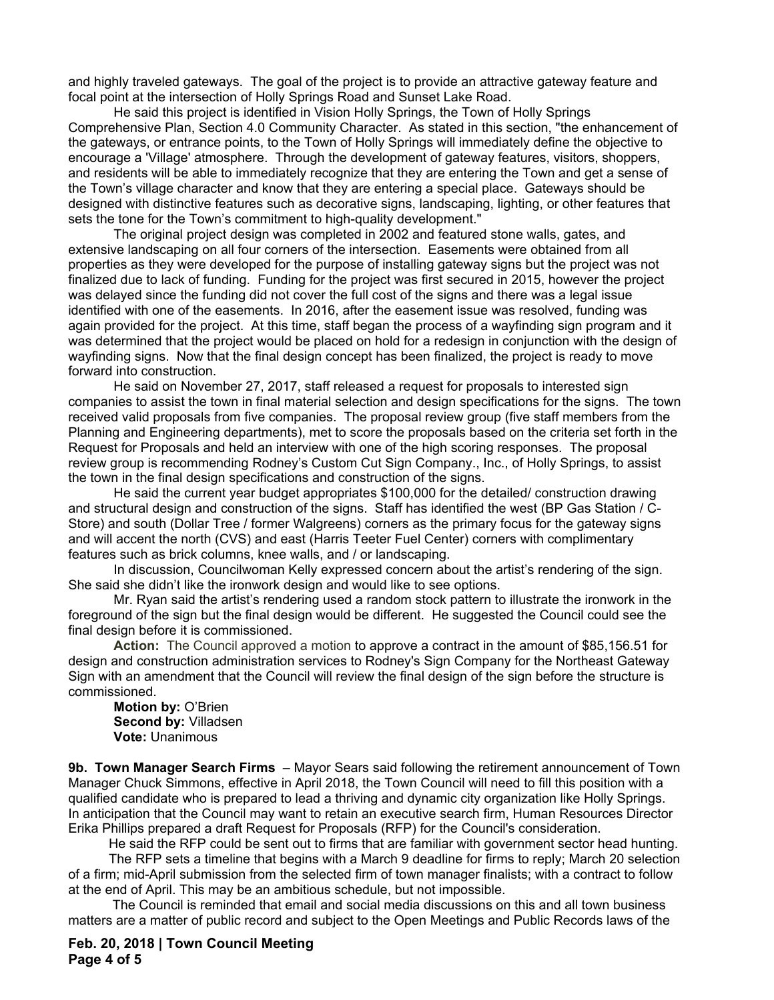and highly traveled gateways. The goal of the project is to provide an attractive gateway feature and focal point at the intersection of Holly Springs Road and Sunset Lake Road.

He said this project is identified in Vision Holly Springs, the Town of Holly Springs Comprehensive Plan, Section 4.0 Community Character. As stated in this section, "the enhancement of the gateways, or entrance points, to the Town of Holly Springs will immediately define the objective to encourage a 'Village' atmosphere. Through the development of gateway features, visitors, shoppers, and residents will be able to immediately recognize that they are entering the Town and get a sense of the Town's village character and know that they are entering a special place. Gateways should be designed with distinctive features such as decorative signs, landscaping, lighting, or other features that sets the tone for the Town's commitment to high-quality development."

The original project design was completed in 2002 and featured stone walls, gates, and extensive landscaping on all four corners of the intersection. Easements were obtained from all properties as they were developed for the purpose of installing gateway signs but the project was not finalized due to lack of funding. Funding for the project was first secured in 2015, however the project was delayed since the funding did not cover the full cost of the signs and there was a legal issue identified with one of the easements. In 2016, after the easement issue was resolved, funding was again provided for the project. At this time, staff began the process of a wayfinding sign program and it was determined that the project would be placed on hold for a redesign in conjunction with the design of wayfinding signs. Now that the final design concept has been finalized, the project is ready to move forward into construction.

He said on November 27, 2017, staff released a request for proposals to interested sign companies to assist the town in final material selection and design specifications for the signs. The town received valid proposals from five companies. The proposal review group (five staff members from the Planning and Engineering departments), met to score the proposals based on the criteria set forth in the Request for Proposals and held an interview with one of the high scoring responses. The proposal review group is recommending Rodney's Custom Cut Sign Company., Inc., of Holly Springs, to assist the town in the final design specifications and construction of the signs.

He said the current year budget appropriates \$100,000 for the detailed/ construction drawing and structural design and construction of the signs. Staff has identified the west (BP Gas Station / C-Store) and south (Dollar Tree / former Walgreens) corners as the primary focus for the gateway signs and will accent the north (CVS) and east (Harris Teeter Fuel Center) corners with complimentary features such as brick columns, knee walls, and / or landscaping.

In discussion, Councilwoman Kelly expressed concern about the artist's rendering of the sign. She said she didn't like the ironwork design and would like to see options.

Mr. Ryan said the artist's rendering used a random stock pattern to illustrate the ironwork in the foreground of the sign but the final design would be different. He suggested the Council could see the final design before it is commissioned.

**Action:** The Council approved a motion to approve a contract in the amount of \$85,156.51 for design and construction administration services to Rodney's Sign Company for the Northeast Gateway Sign with an amendment that the Council will review the final design of the sign before the structure is commissioned.

**Motion by:** O'Brien **Second by:** Villadsen **Vote:** Unanimous

**9b. Town Manager Search Firms** – Mayor Sears said following the retirement announcement of Town Manager Chuck Simmons, effective in April 2018, the Town Council will need to fill this position with a qualified candidate who is prepared to lead a thriving and dynamic city organization like Holly Springs. In anticipation that the Council may want to retain an executive search firm, Human Resources Director Erika Phillips prepared a draft Request for Proposals (RFP) for the Council's consideration.

He said the RFP could be sent out to firms that are familiar with government sector head hunting.

 The RFP sets a timeline that begins with a March 9 deadline for firms to reply; March 20 selection of a firm; mid-April submission from the selected firm of town manager finalists; with a contract to follow at the end of April. This may be an ambitious schedule, but not impossible.

 The Council is reminded that email and social media discussions on this and all town business matters are a matter of public record and subject to the Open Meetings and Public Records laws of the

**Feb. 20, 2018 | Town Council Meeting Page 4 of 5**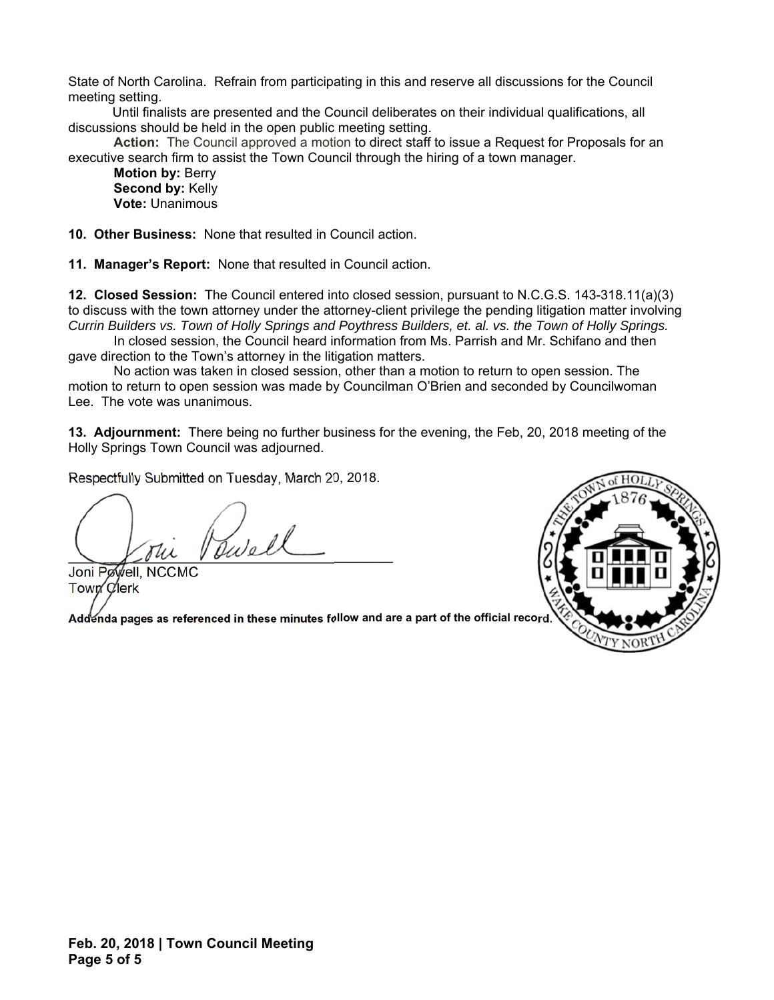State of North Carolina. Refrain from participating in this and reserve all discussions for the Council meeting setting.

 Until finalists are presented and the Council deliberates on their individual qualifications, all discussions should be held in the open public meeting setting.

**Action:** The Council approved a motion to direct staff to issue a Request for Proposals for an executive search firm to assist the Town Council through the hiring of a town manager.

**Motion by:** Berry **Second by:** Kelly **Vote:** Unanimous

**10. Other Business:** None that resulted in Council action.

**11. Manager's Report:** None that resulted in Council action.

**12. Closed Session:** The Council entered into closed session, pursuant to N.C.G.S. 143-318.11(a)(3) to discuss with the town attorney under the attorney-client privilege the pending litigation matter involving *Currin Builders vs. Town of Holly Springs and Poythress Builders, et. al. vs. the Town of Holly Springs.*

 In closed session, the Council heard information from Ms. Parrish and Mr. Schifano and then gave direction to the Town's attorney in the litigation matters.

 No action was taken in closed session, other than a motion to return to open session. The motion to return to open session was made by Councilman O'Brien and seconded by Councilwoman Lee. The vote was unanimous.

**13. Adjournment:** There being no further business for the evening, the Feb, 20, 2018 meeting of the Holly Springs Town Council was adjourned.

Respectfully Submitted on Tuesday, March 20, 2018.

 $\mathcal{L}$ well

Joni Powell, NCCMC Town Clerk

Addenda pages as referenced in these minutes follow and are a part of the official record

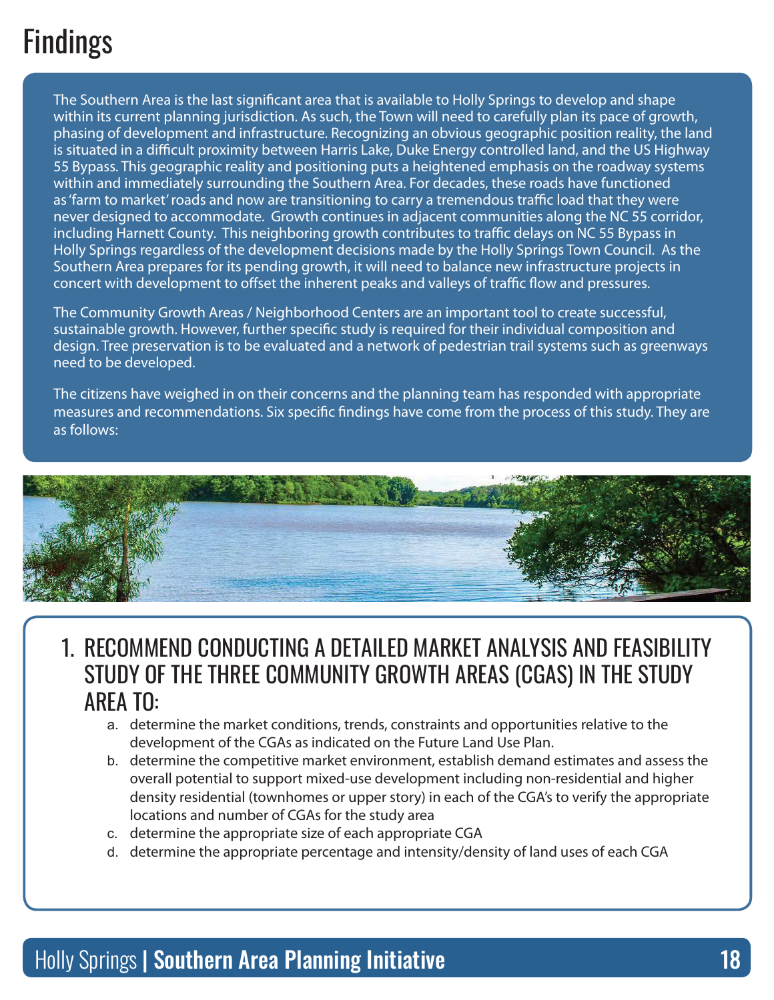# Findings

The Southern Area is the last significant area that is available to Holly Springs to develop and shape within its current planning jurisdiction. As such, the Town will need to carefully plan its pace of growth, phasing of development and infrastructure. Recognizing an obvious geographic position reality, the land is situated in a difficult proximity between Harris Lake, Duke Energy controlled land, and the US Highway 55 Bypass. This geographic reality and positioning puts a heightened emphasis on the roadway systems within and immediately surrounding the Southern Area. For decades, these roads have functioned as 'farm to market' roads and now are transitioning to carry a tremendous traffic load that they were never designed to accommodate. Growth continues in adjacent communities along the NC 55 corridor, including Harnett County. This neighboring growth contributes to traffic delays on NC 55 Bypass in Holly Springs regardless of the development decisions made by the Holly Springs Town Council. As the Southern Area prepares for its pending growth, it will need to balance new infrastructure projects in concert with development to offset the inherent peaks and valleys of traffic flow and pressures.

The Community Growth Areas / Neighborhood Centers are an important tool to create successful, sustainable growth. However, further specific study is required for their individual composition and design. Tree preservation is to be evaluated and a network of pedestrian trail systems such as greenways need to be developed.

The citizens have weighed in on their concerns and the planning team has responded with appropriate measures and recommendations. Six specific findings have come from the process of this study. They are as follows:



#### 1. Recommend conducting a detailed market analysis and feasibility study of the three Community Growth Areas (CGAs) in the study **ARFA TO:**

- a. determine the market conditions, trends, constraints and opportunities relative to the development of the CGAs as indicated on the Future Land Use Plan.
- b. determine the competitive market environment, establish demand estimates and assess the overall potential to support mixed-use development including non-residential and higher density residential (townhomes or upper story) in each of the CGA's to verify the appropriate locations and number of CGAs for the study area
- c. determine the appropriate size of each appropriate CGA
- d. determine the appropriate percentage and intensity/density of land uses of each CGA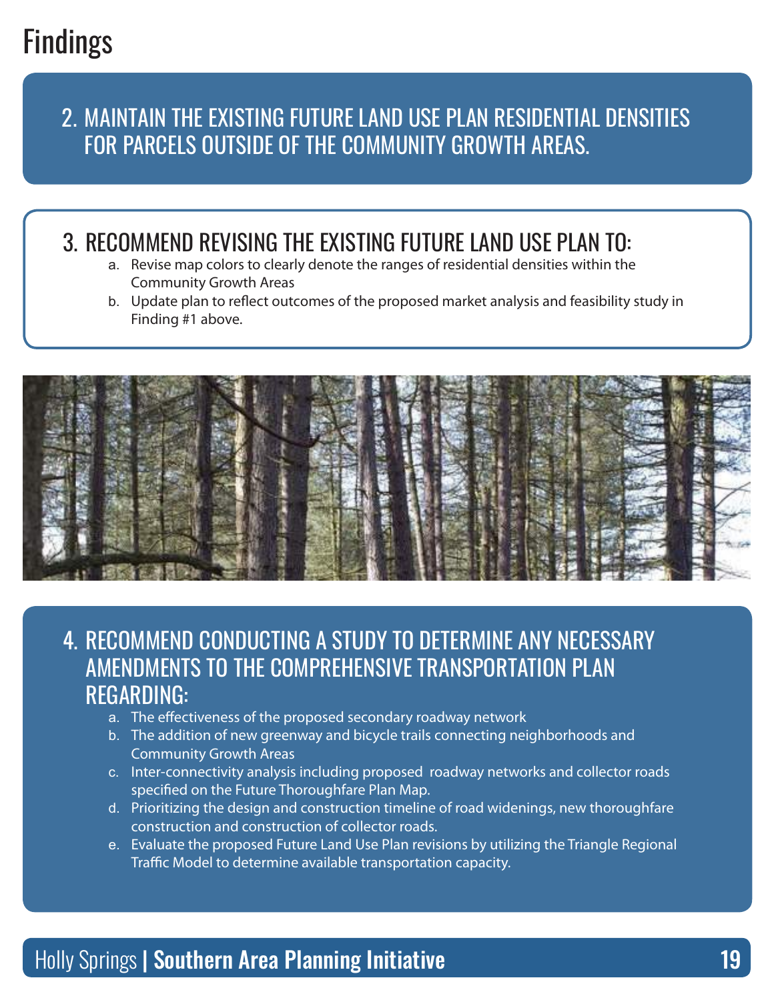# Findings

## 2. Maintain the existing Future Land Use Plan residential densities for parcels outside of the Community Growth Areas.

## 3. Recommend revising the existing Future Land Use Plan to:

- a. Revise map colors to clearly denote the ranges of residential densities within the Community Growth Areas
- b. Update plan to reflect outcomes of the proposed market analysis and feasibility study in Finding #1 above.



#### 4. Recommend conducting a study to determine any necessary amendments to the Comprehensive Transportation Plan regarding:

- a. The effectiveness of the proposed secondary roadway network
- b. The addition of new greenway and bicycle trails connecting neighborhoods and Community Growth Areas
- c. Inter-connectivity analysis including proposed roadway networks and collector roads specified on the Future Thoroughfare Plan Map.
- d. Prioritizing the design and construction timeline of road widenings, new thoroughfare construction and construction of collector roads.
- e. Evaluate the proposed Future Land Use Plan revisions by utilizing the Triangle Regional Traffic Model to determine available transportation capacity.